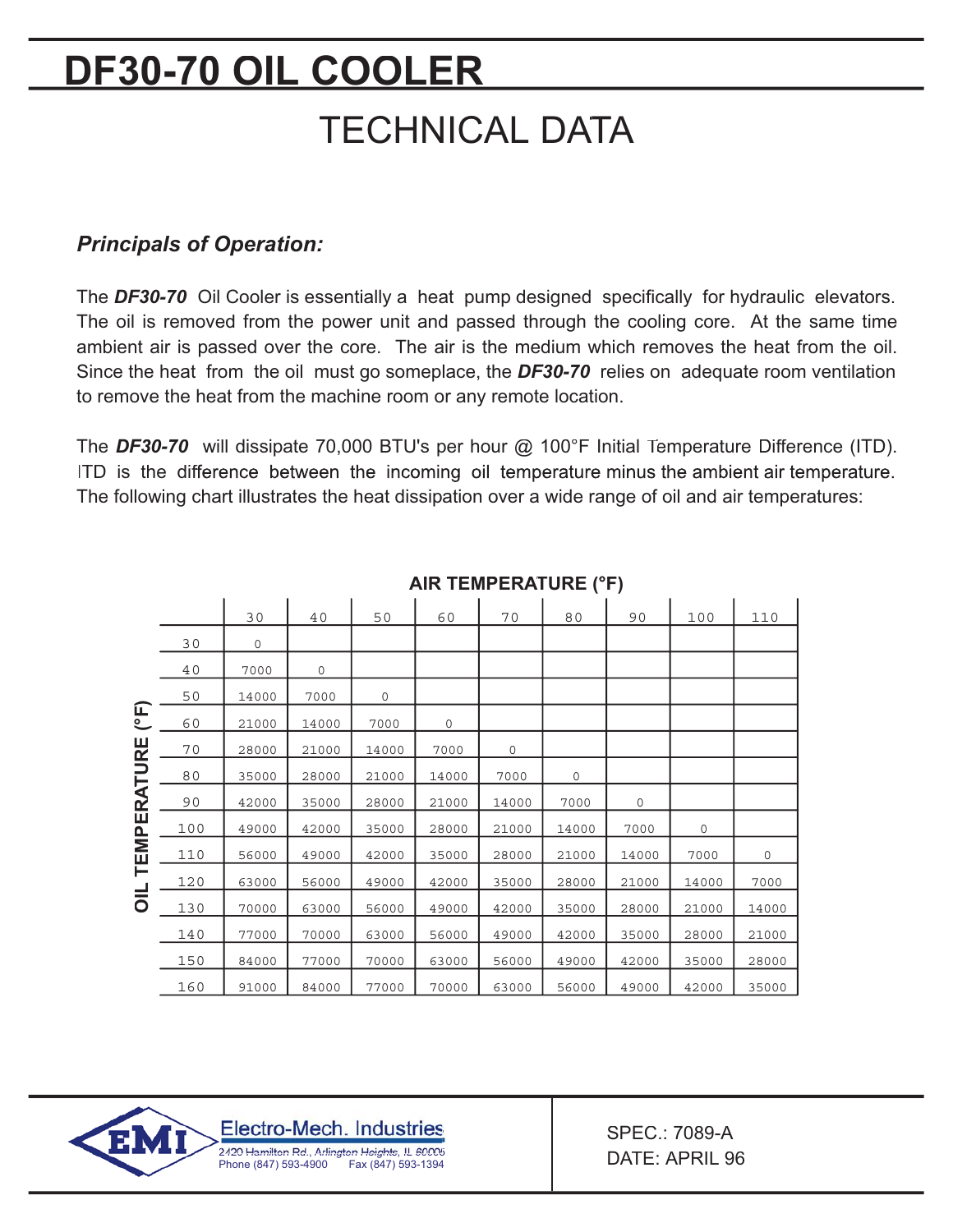# **DF30-70 OIL COOLER TECHNICAL DATA**

### *Principals of Operation:*

The *DF30-70* Oil Cooler is essentially a heat pump designed specifically for hydraulic elevators. The oil is removed from the power unit and passed through the cooling core. At the same time ambient air is passed over the core. The air is the medium which removes the heat from the oil. Since the heat from the oil must go someplace, the *DF30-70* relies on adequate room ventilation to remove the heat from the machine room or any remote location.

The **DF30-70** will dissipate 70,000 BTU's per hour @ 100°F Initial Temperature Difference (ITD). ITD is the difference between the incoming oil temperature minus the ambient air temperature. The following chart illustrates the heat dissipation over a wide range of oil and air temperatures:

|                                                                          |     | 30    | 40    | 50    | 60    | 70          | 80    | 90    | 100   | 110   |
|--------------------------------------------------------------------------|-----|-------|-------|-------|-------|-------------|-------|-------|-------|-------|
| $\overline{\mathsf{F}}$<br><b>TEMPERATURE</b><br>$\overline{\mathsf{L}}$ | 30  | 0     |       |       |       |             |       |       |       |       |
|                                                                          | 40  | 7000  | 0     |       |       |             |       |       |       |       |
|                                                                          | 50  | 14000 | 7000  | 0     |       |             |       |       |       |       |
|                                                                          | 60  | 21000 | 14000 | 7000  | 0     |             |       |       |       |       |
|                                                                          | 70  | 28000 | 21000 | 14000 | 7000  | $\mathbf 0$ |       |       |       |       |
|                                                                          | 80  | 35000 | 28000 | 21000 | 14000 | 7000        | 0     |       |       |       |
|                                                                          | 90  | 42000 | 35000 | 28000 | 21000 | 14000       | 7000  | 0     |       |       |
|                                                                          | 100 | 49000 | 42000 | 35000 | 28000 | 21000       | 14000 | 7000  | 0     |       |
|                                                                          | 110 | 56000 | 49000 | 42000 | 35000 | 28000       | 21000 | 14000 | 7000  | 0     |
|                                                                          | 120 | 63000 | 56000 | 49000 | 42000 | 35000       | 28000 | 21000 | 14000 | 7000  |
|                                                                          | 130 | 70000 | 63000 | 56000 | 49000 | 42000       | 35000 | 28000 | 21000 | 14000 |
|                                                                          | 140 | 77000 | 70000 | 63000 | 56000 | 49000       | 42000 | 35000 | 28000 | 21000 |
|                                                                          | 150 | 84000 | 77000 | 70000 | 63000 | 56000       | 49000 | 42000 | 35000 | 28000 |
|                                                                          | 160 | 91000 | 84000 | 77000 | 70000 | 63000       | 56000 | 49000 | 42000 | 35000 |

#### **AIR TEMPERATURE (°F)**



SPEC.: 7089-A DATE: APRIL 96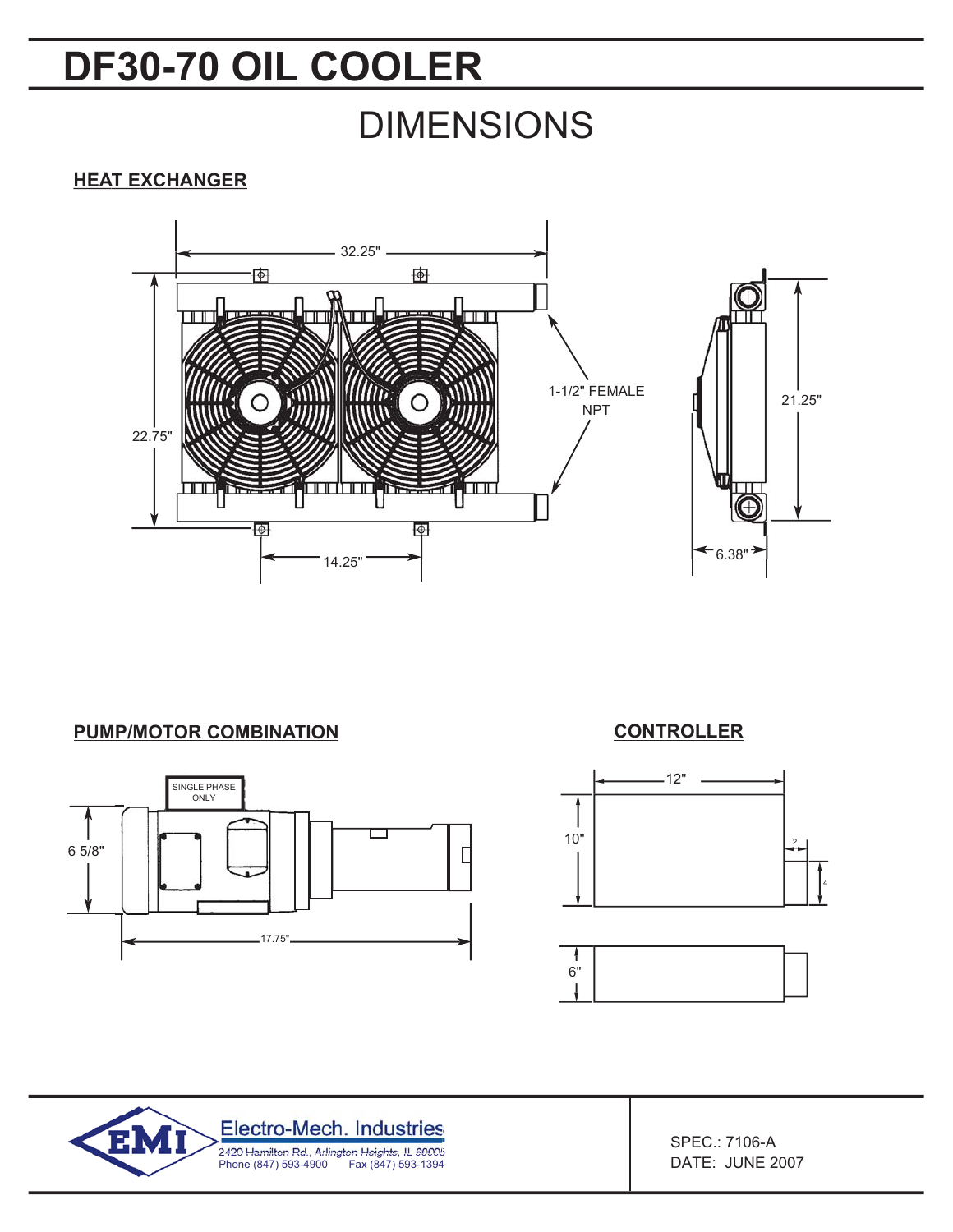## **DF30-70 OIL COOLER**

## DIMENSIONS

#### **HEAT EXCHANGER**



**PUMP/MOTOR COMBINATION**



#### **CONTROLLER**





SPEC.: 7106-A DATE: JUNE 2007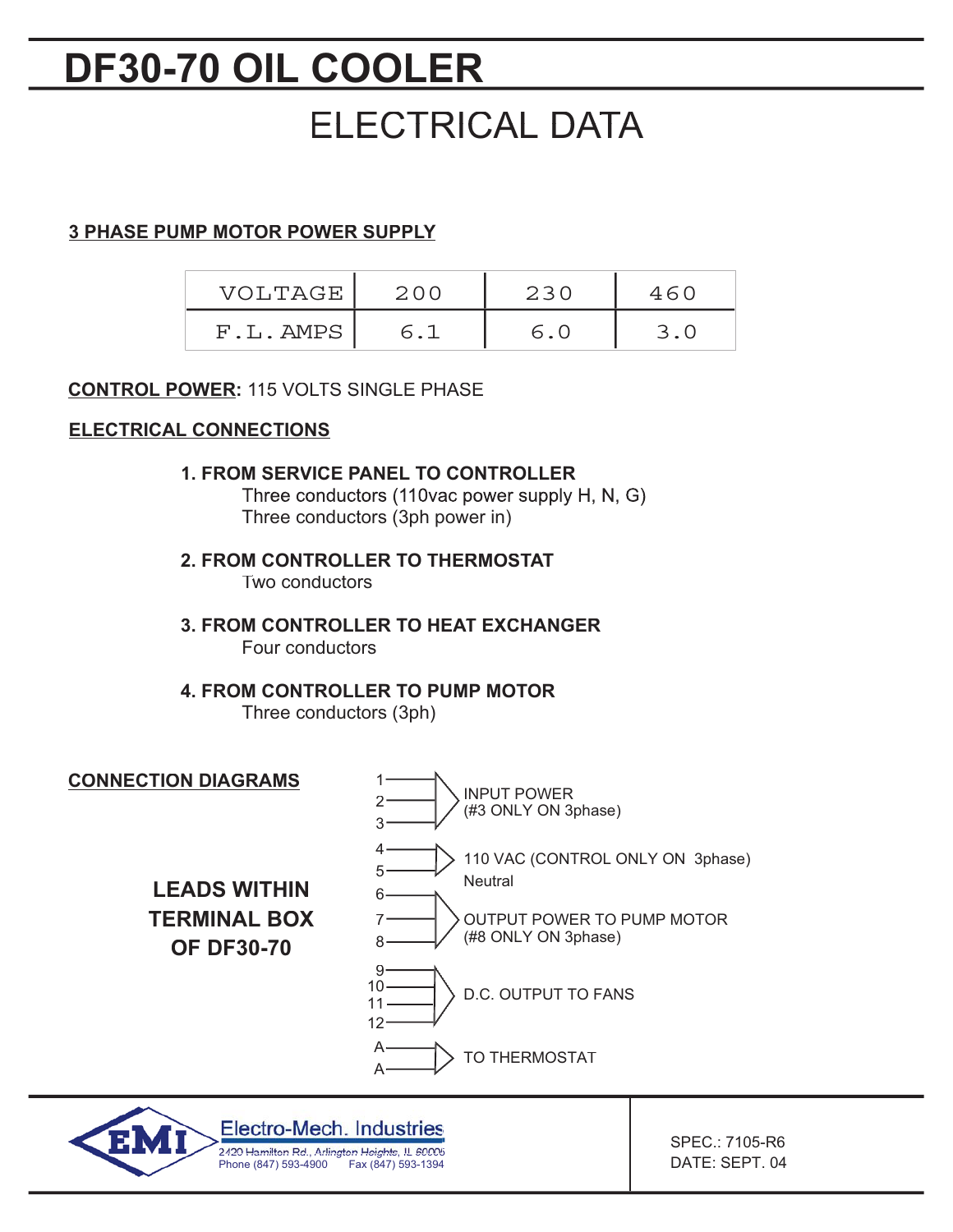## **DF30-70 OIL COOLER**

## ELECTRICAL DATA

### **3 PHASE PUMP MOTOR POWER SUPPLY**

| VOLTAGE  | 230 |  |
|----------|-----|--|
| F.L.AMPS |     |  |

#### **CONTROL POWER:** 115 VOLTS SINGLE PHASE

#### **ELECTRICAL CONNECTIONS**

#### **1. FROM SERVICE PANEL TO CONTROLLER**

Three conductors (110vac power supply H, N, G) Three conductors (3ph power in)

**2. FROM CONTROLLER TO THERMOSTAT** Two conductors

**3. FROM CONTROLLER TO HEAT EXCHANGER** Four conductors

## **4. FROM CONTROLLER TO PUMP MOTOR**

Three conductors (3ph)

Phone (847) 593-4900 Fax (847) 593-1394



SPEC.: 7105-R6 DATE: SEPT. 04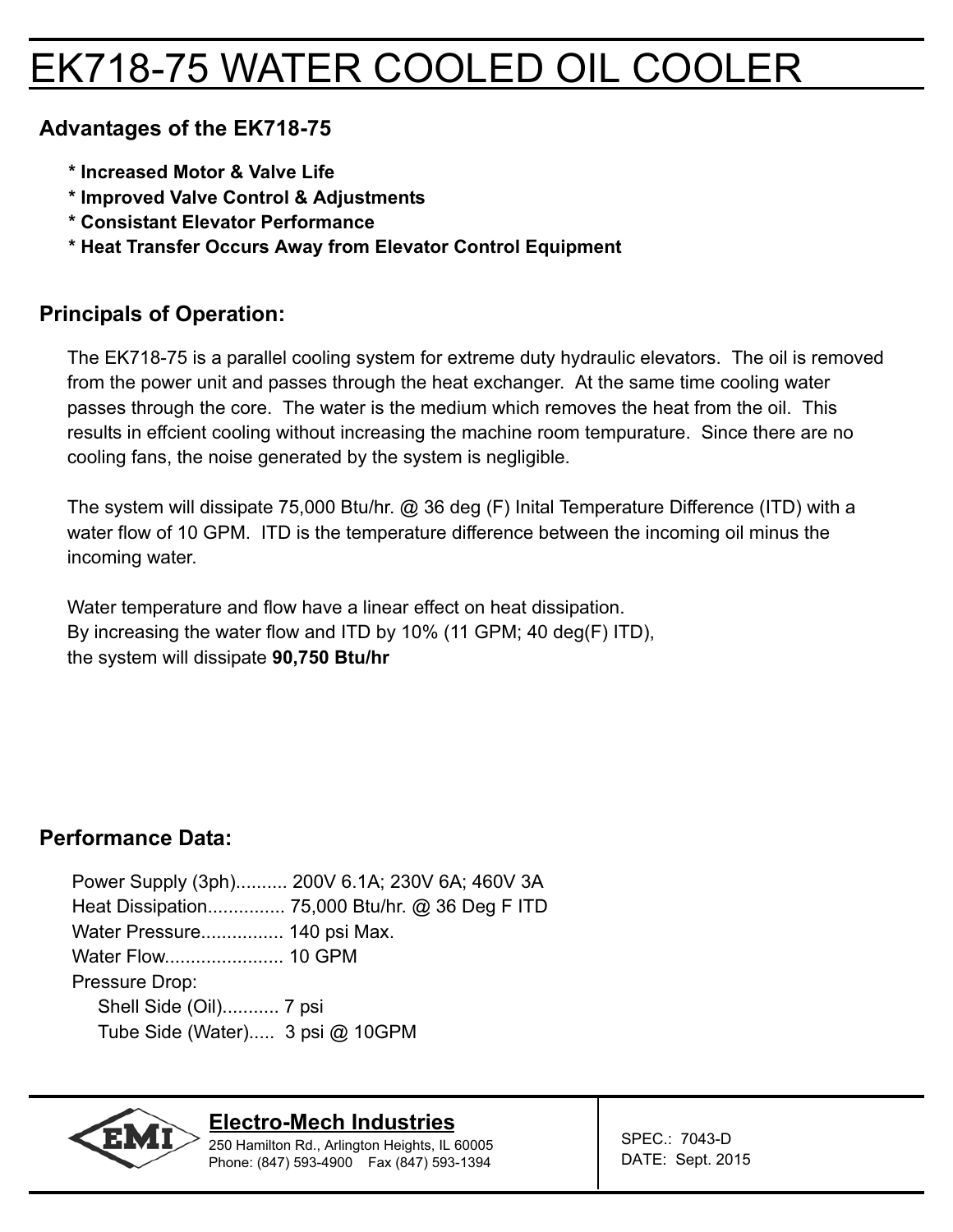## EK718-75 WATER COOLED OIL COOLER

### **Advantages of the EK718-75**

- **\* Increased Motor & Valve Life**
- **\* Improved Valve Control & Adjustments**
- **\* Consistant Elevator Performance**
- **\* Heat Transfer Occurs Away from Elevator Control Equipment**

### **Principals of Operation:**

The EK718-75 is a parallel cooling system for extreme duty hydraulic elevators. The oil is removed from the power unit and passes through the heat exchanger. At the same time cooling water passes through the core. The water is the medium which removes the heat from the oil. This results in effcient cooling without increasing the machine room tempurature. Since there are no cooling fans, the noise generated by the system is negligible.

The system will dissipate 75,000 Btu/hr. @ 36 deg (F) Inital Temperature Difference (ITD) with a water flow of 10 GPM. ITD is the temperature difference between the incoming oil minus the incoming water.

Water temperature and flow have a linear effect on heat dissipation. By increasing the water flow and ITD by 10% (11 GPM; 40 deg(F) ITD), the system will dissipate **90,750 Btu/hr**

### **Performance Data:**

Power Supply (3ph).......... 200V 6.1A; 230V 6A; 460V 3A Heat Dissipation............... 75,000 Btu/hr. @ 36 Deg F ITD Water Pressure................ 140 psi Max. Water Flow....................... 10 GPM Pressure Drop: Shell Side (Oil)........... 7 psi Tube Side (Water)..... 3 psi @ 10GPM



#### **Electro-Mech Industries**

250 Hamilton Rd., Arlington Heights, IL 60005 Phone: (847) 593-4900 Fax (847) 593-1394

SPEC.: 7043-D DATE: Sept. 2015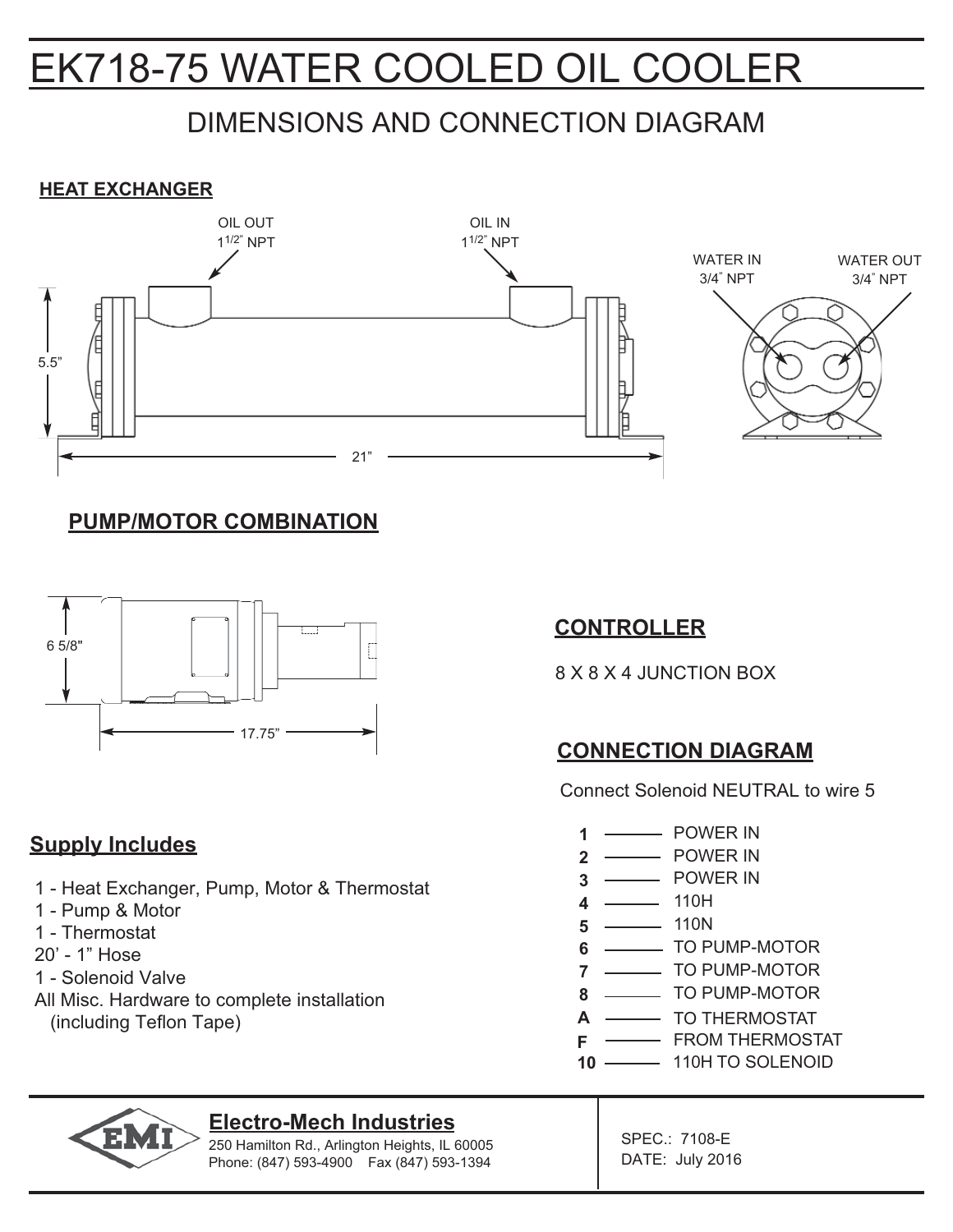## EK718-75 WATER COOLED OIL COOLER

## DIMENSIONS AND CONNECTION DIAGRAM

#### **HEAT EXCHANGER**



### **PUMP/MOTOR COMBINATION**



### **Supply Includes**

- 1 Heat Exchanger, Pump, Motor & Thermostat
- 1 Pump & Motor
- 1 Thermostat
- 20' 1" Hose
- 1 Solenoid Valve
- All Misc. Hardware to complete installation (including Teflon Tape)

### **CONTROLLER**

8 X 8 X 4 JUNCTION BOX

## **CONNECTION DIAGRAM**

Connect Solenoid NEUTRAL to wire 5

- **EXAMPLE POWER IN 1**
- POWER IN **2**
- POWER IN **3**
- $-$  110H **4**
- 110N **5**
- **TO PUMP-MOTOR 6**
- **COLORIST CONTROL** TO PUMP-MOTOR **7**
- TO PUMP-MOTOR **8**
- TO THERMOSTAT **A**
- **F - FROM THERMOSTAT**
- **10 ------** 110H TO SOLENOID



#### **Electro-Mech Industries**

250 Hamilton Rd., Arlington Heights, IL 60005 Phone: (847) 593-4900 Fax (847) 593-1394

SPEC.: 7108-E DATE: July 2016